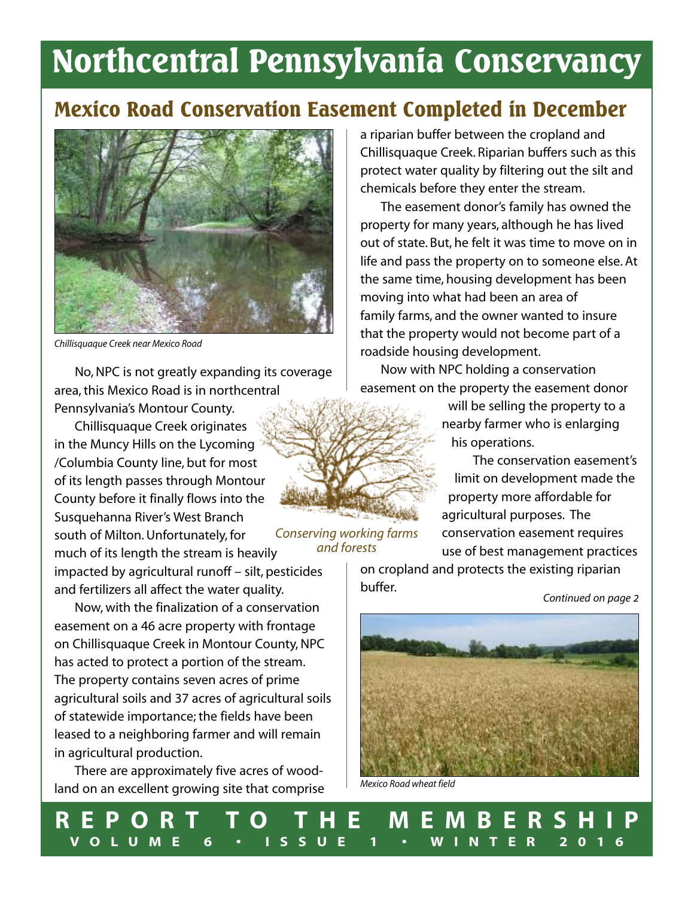# **Northcentral Pennsylvania Conservancy**

## **Mexico Road Conservation Easement Completed in December**



*Chillisquaque Creek near Mexico Road*

No,NPC is not greatly expanding its coverage area,this Mexico Road is in northcentral Pennsylvania's Montour County.

Chillisquaque Creek originates in the Muncy Hills on the Lycoming /Columbia County line, but for most of its length passes through Montour County before it finally flows into the Susquehanna River's West Branch south of Milton.Unfortunately, for much of its length the stream is heavily

impacted by agricultural runoff – silt, pesticides and fertilizers all affect the water quality.

Now, with the finalization of a conservation easement on a 46 acre property with frontage on Chillisquaque Creek in Montour County, NPC has acted to protect a portion of the stream. The property contains seven acres of prime agricultural soils and 37 acres of agricultural soils of statewide importance; the fields have been leased to a neighboring farmer and will remain in agricultural production.

There are approximately five acres of woodland on an excellent growing site that comprise a riparian buffer between the cropland and Chillisquaque Creek. Riparian buffers such as this protect water quality by filtering out the silt and chemicals before they enter the stream.

The easement donor's family has owned the property for many years, although he has lived out of state. But, he felt it was time to move on in life and pass the property on to someone else. At the same time, housing development has been moving into what had been an area of family farms, and the owner wanted to insure that the property would not become part of a roadside housing development.

Now with NPC holding a conservation easement on the property the easement donor

> will be selling the property to a nearby farmer who is enlarging his operations.

The conservation easement's limit on development made the property more affordable for agricultural purposes. The conservation easement requires use of best management practices

on cropland and protects the existing riparian buffer.



*Mexico Road wheat field*



*Continued on page 2*



*and forests*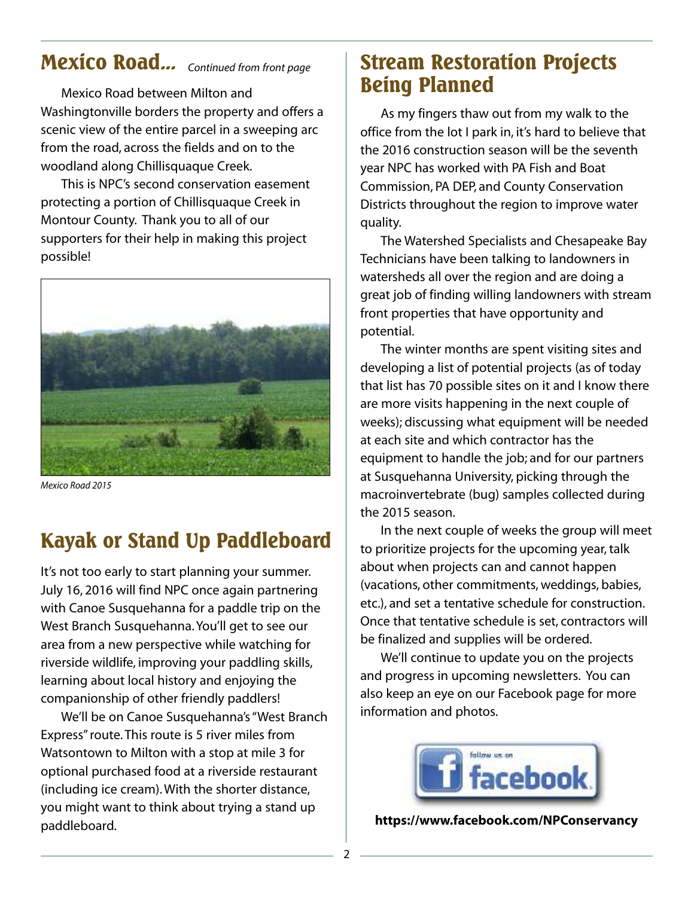## **Mexico Road...** *Continued from front page*

Mexico Road between Milton and Washingtonville borders the property and offers a scenic view of the entire parcel in a sweeping arc from the road, across the fields and on to the woodland along Chillisquaque Creek.

This is NPC's second conservation easement protecting a portion of Chillisquaque Creek in Montour County. Thank you to all of our supporters for their help in making this project possible!



*Mexico Road 2015*

## **Kayak or Stand Up Paddleboard**

It's not too early to start planning your summer. July 16, 2016 will find NPC once again partnering with Canoe Susquehanna for a paddle trip on the West Branch Susquehanna.You'll get to see our area from a new perspective while watching for riverside wildlife, improving your paddling skills, learning about local history and enjoying the companionship of other friendly paddlers!

We'll be on Canoe Susquehanna's "West Branch Express"route.This route is 5 river miles from Watsontown to Milton with a stop at mile 3 for optional purchased food at a riverside restaurant (including ice cream).With the shorter distance, you might want to think about trying a stand up paddleboard.

## **Stream Restoration Projects Being Planned**

As my fingers thaw out from my walk to the office from the lot I park in, it's hard to believe that the 2016 construction season will be the seventh year NPC has worked with PA Fish and Boat Commission, PA DEP, and County Conservation Districts throughout the region to improve water quality.

The Watershed Specialists and Chesapeake Bay Technicians have been talking to landowners in watersheds all over the region and are doing a great job of finding willing landowners with stream front properties that have opportunity and potential.

The winter months are spent visiting sites and developing a list of potential projects (as of today that list has 70 possible sites on it and I know there are more visits happening in the next couple of weeks); discussing what equipment will be needed at each site and which contractor has the equipment to handle the job; and for our partners at Susquehanna University, picking through the macroinvertebrate (bug) samples collected during the 2015 season.

In the next couple of weeks the group will meet to prioritize projects for the upcoming year, talk about when projects can and cannot happen (vacations, other commitments, weddings, babies, etc.), and set a tentative schedule for construction. Once that tentative schedule is set, contractors will be finalized and supplies will be ordered.

We'll continue to update you on the projects and progress in upcoming newsletters. You can also keep an eye on our Facebook page for more information and photos.



**https://www.facebook.com/NPConservancy**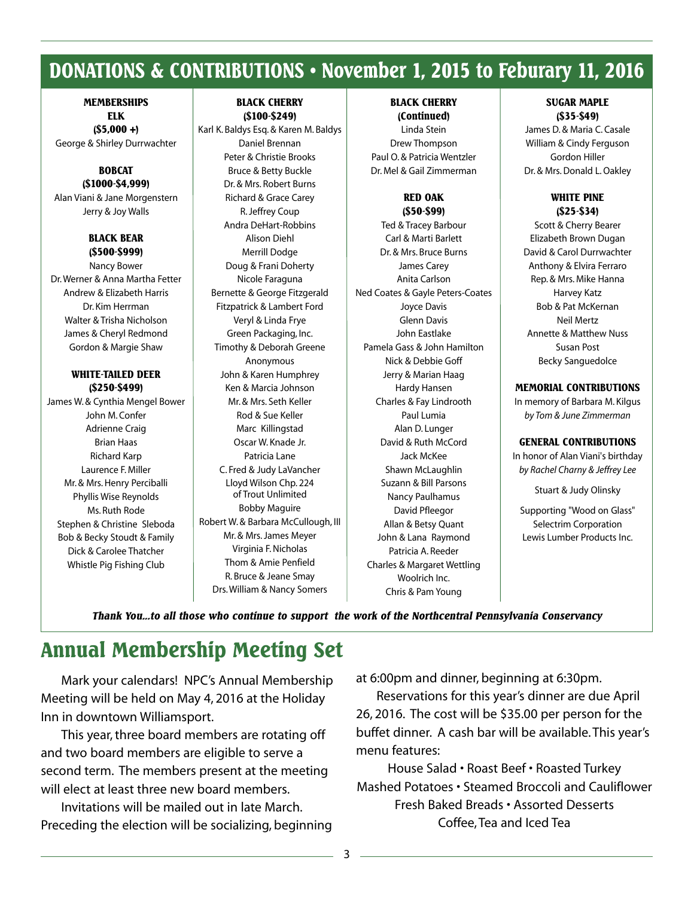## **DONATIONS & CONTRIBUTIONS • November 1, 2015 to Feburary 11, 2016**

### **MEMBERSHIPS ELK (\$5,000 +)**

George & Shirley Durrwachter

#### **BOBCAT (\$1000-\$4,999)**

Alan Viani & Jane Morgenstern Jerry & Joy Walls

## **BLACK BEAR (\$500-\$999)**

Nancy Bower Dr.Werner & Anna Martha Fetter Andrew & Elizabeth Harris Dr. Kim Herrman Walter & Trisha Nicholson James & Cheryl Redmond Gordon & Margie Shaw

### **WHITE-TAILED DEER (\$250-\$499)**

James W. & Cynthia Mengel Bower John M. Confer Adrienne Craig Brian Haas Richard Karp Laurence F. Miller Mr. & Mrs. Henry Perciballi Phyllis Wise Reynolds Ms. Ruth Rode Stephen & Christine Sleboda Bob & Becky Stoudt & Family Dick & Carolee Thatcher Whistle Pig Fishing Club

## **BLACK CHERRY (\$100-\$249)**

Karl K. Baldys Esq. & Karen M. Baldys Daniel Brennan Peter & Christie Brooks Bruce & Betty Buckle Dr. & Mrs. Robert Burns Richard & Grace Carey R.Jeffrey Coup Andra DeHart-Robbins Alison Diehl Merrill Dodge Doug & Frani Doherty Nicole Faraguna Bernette & George Fitzgerald Fitzpatrick & Lambert Ford Veryl & Linda Frye Green Packaging, Inc. Timothy & Deborah Greene Anonymous John & Karen Humphrey Ken & Marcia Johnson Mr. & Mrs. Seth Keller Rod & Sue Keller Marc Killingstad Oscar W. Knade Jr. Patricia Lane C. Fred & Judy LaVancher Lloyd Wilson Chp. 224 of Trout Unlimited Bobby Maguire Robert W. & Barbara McCullough, III Mr. & Mrs.James Meyer Virginia F.Nicholas Thom & Amie Penfield R. Bruce & Jeane Smay Drs.William & Nancy Somers

## **BLACK CHERRY**

**(Continued)** Linda Stein Drew Thompson Paul O. & Patricia Wentzler Dr. Mel & Gail Zimmerman

### **RED OAK (\$50-\$99)**

Ted & Tracey Barbour Carl & Marti Barlett Dr. & Mrs. Bruce Burns James Carey Anita Carlson Ned Coates & Gayle Peters-Coates Joyce Davis Glenn Davis John Eastlake Pamela Gass & John Hamilton Nick & Debbie Goff Jerry & Marian Haag Hardy Hansen Charles & Fay Lindrooth Paul Lumia Alan D. Lunger David & Ruth McCord Jack McKee Shawn McLaughlin Suzann & Bill Parsons Nancy Paulhamus David Pfleegor Allan & Betsy Quant John & Lana Raymond Patricia A. Reeder Charles & Margaret Wettling Woolrich Inc. Chris & Pam Young

### **SUGAR MAPLE (\$35-\$49)**

James D. & Maria C. Casale William & Cindy Ferguson Gordon Hiller Dr. & Mrs. Donald L. Oakley

### **WHITE PINE (\$25-\$34)**

Scott & Cherry Bearer Elizabeth Brown Dugan David & Carol Durrwachter Anthony & Elvira Ferraro Rep. & Mrs. Mike Hanna Harvey Katz Bob & Pat McKernan Neil Mertz Annette & Matthew Nuss Susan Post Becky Sanguedolce

### **MEMORIAL CONTRIBUTIONS**

In memory of Barbara M. Kilgus *by Tom & June Zimmerman*

### **GENERAL CONTRIBUTIONS**

In honor of Alan Viani's birthday *by Rachel Charny & Jeffrey Lee*

Stuart & Judy Olinsky

Supporting "Wood on Glass" Selectrim Corporation Lewis Lumber Products Inc.

*Thank You...to all those who continue to support the work of the Northcentral Pennsylvania Conservancy*

## **Annual Membership Meeting Set**

Mark your calendars! NPC's Annual Membership Meeting will be held on May 4, 2016 at the Holiday Inn in downtown Williamsport.

This year, three board members are rotating off and two board members are eligible to serve a second term. The members present at the meeting will elect at least three new board members.

Invitations will be mailed out in late March. Preceding the election will be socializing, beginning at 6:00pm and dinner, beginning at 6:30pm.

Reservations for this year's dinner are due April 26, 2016. The cost will be \$35.00 per person for the buffet dinner. A cash bar will be available.This year's menu features:

House Salad • Roast Beef • Roasted Turkey Mashed Potatoes • Steamed Broccoli and Cauliflower Fresh Baked Breads • Assorted Desserts Coffee,Tea and Iced Tea